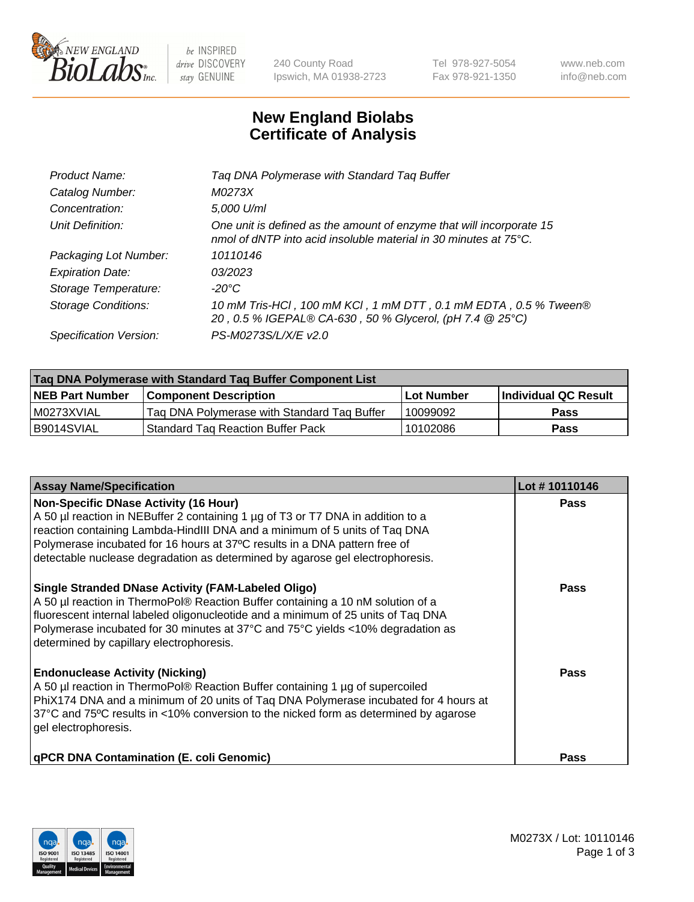

 $be$  INSPIRED drive DISCOVERY stay GENUINE

240 County Road Ipswich, MA 01938-2723 Tel 978-927-5054 Fax 978-921-1350 www.neb.com info@neb.com

## **New England Biolabs Certificate of Analysis**

| Product Name:           | Tag DNA Polymerase with Standard Tag Buffer                                                                                                        |
|-------------------------|----------------------------------------------------------------------------------------------------------------------------------------------------|
| Catalog Number:         | M0273X                                                                                                                                             |
| Concentration:          | 5,000 U/ml                                                                                                                                         |
| Unit Definition:        | One unit is defined as the amount of enzyme that will incorporate 15<br>nmol of dNTP into acid insoluble material in 30 minutes at $75^{\circ}$ C. |
| Packaging Lot Number:   | 10110146                                                                                                                                           |
| <b>Expiration Date:</b> | 03/2023                                                                                                                                            |
| Storage Temperature:    | $-20^{\circ}$ C                                                                                                                                    |
| Storage Conditions:     | 10 mM Tris-HCl, 100 mM KCl, 1 mM DTT, 0.1 mM EDTA, 0.5 % Tween®<br>20, 0.5 % IGEPAL® CA-630, 50 % Glycerol, (pH 7.4 @ 25°C)                        |
| Specification Version:  | PS-M0273S/L/X/E v2.0                                                                                                                               |

| Tag DNA Polymerase with Standard Tag Buffer Component List |                                             |                   |                      |  |
|------------------------------------------------------------|---------------------------------------------|-------------------|----------------------|--|
| <b>NEB Part Number</b>                                     | <b>Component Description</b>                | <b>Lot Number</b> | Individual QC Result |  |
| M0273XVIAL                                                 | Tag DNA Polymerase with Standard Tag Buffer | 10099092          | <b>Pass</b>          |  |
| B9014SVIAL                                                 | 'Standard Tag Reaction Buffer Pack          | 10102086          | <b>Pass</b>          |  |

| <b>Assay Name/Specification</b>                                                                                                                                                                                                                                                                                                                                              | Lot #10110146 |
|------------------------------------------------------------------------------------------------------------------------------------------------------------------------------------------------------------------------------------------------------------------------------------------------------------------------------------------------------------------------------|---------------|
| <b>Non-Specific DNase Activity (16 Hour)</b><br>A 50 µl reaction in NEBuffer 2 containing 1 µg of T3 or T7 DNA in addition to a<br>reaction containing Lambda-HindIII DNA and a minimum of 5 units of Taq DNA<br>Polymerase incubated for 16 hours at 37°C results in a DNA pattern free of<br>detectable nuclease degradation as determined by agarose gel electrophoresis. | Pass          |
| <b>Single Stranded DNase Activity (FAM-Labeled Oligo)</b><br>A 50 µl reaction in ThermoPol® Reaction Buffer containing a 10 nM solution of a<br>fluorescent internal labeled oligonucleotide and a minimum of 25 units of Taq DNA<br>Polymerase incubated for 30 minutes at 37°C and 75°C yields <10% degradation as<br>determined by capillary electrophoresis.             | Pass          |
| <b>Endonuclease Activity (Nicking)</b><br>A 50 µl reaction in ThermoPol® Reaction Buffer containing 1 µg of supercoiled<br>PhiX174 DNA and a minimum of 20 units of Taq DNA Polymerase incubated for 4 hours at<br>37°C and 75°C results in <10% conversion to the nicked form as determined by agarose<br>gel electrophoresis.                                              | Pass          |
| <b>qPCR DNA Contamination (E. coli Genomic)</b>                                                                                                                                                                                                                                                                                                                              | Pass          |

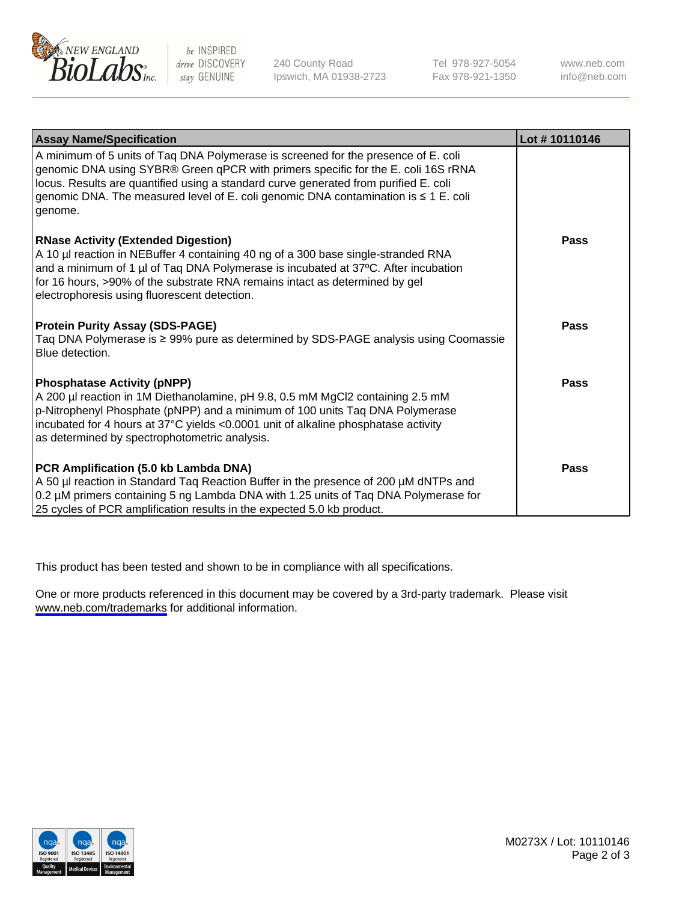

be INSPIRED drive DISCOVERY stay GENUINE

240 County Road Ipswich, MA 01938-2723 Tel 978-927-5054 Fax 978-921-1350

www.neb.com info@neb.com

| <b>Assay Name/Specification</b>                                                                                                                                                                                                                                                                                                                                   | Lot #10110146 |
|-------------------------------------------------------------------------------------------------------------------------------------------------------------------------------------------------------------------------------------------------------------------------------------------------------------------------------------------------------------------|---------------|
| A minimum of 5 units of Taq DNA Polymerase is screened for the presence of E. coli<br>genomic DNA using SYBR® Green qPCR with primers specific for the E. coli 16S rRNA<br>locus. Results are quantified using a standard curve generated from purified E. coli<br>genomic DNA. The measured level of E. coli genomic DNA contamination is ≤ 1 E. coli<br>genome. |               |
| <b>RNase Activity (Extended Digestion)</b><br>A 10 µl reaction in NEBuffer 4 containing 40 ng of a 300 base single-stranded RNA<br>and a minimum of 1 µl of Taq DNA Polymerase is incubated at 37°C. After incubation<br>for 16 hours, >90% of the substrate RNA remains intact as determined by gel<br>electrophoresis using fluorescent detection.              | <b>Pass</b>   |
| <b>Protein Purity Assay (SDS-PAGE)</b><br>Taq DNA Polymerase is ≥ 99% pure as determined by SDS-PAGE analysis using Coomassie<br>Blue detection.                                                                                                                                                                                                                  | <b>Pass</b>   |
| <b>Phosphatase Activity (pNPP)</b><br>A 200 µl reaction in 1M Diethanolamine, pH 9.8, 0.5 mM MgCl2 containing 2.5 mM<br>p-Nitrophenyl Phosphate (pNPP) and a minimum of 100 units Taq DNA Polymerase<br>incubated for 4 hours at 37°C yields <0.0001 unit of alkaline phosphatase activity<br>as determined by spectrophotometric analysis.                       | <b>Pass</b>   |
| PCR Amplification (5.0 kb Lambda DNA)<br>A 50 µl reaction in Standard Taq Reaction Buffer in the presence of 200 µM dNTPs and<br>0.2 µM primers containing 5 ng Lambda DNA with 1.25 units of Taq DNA Polymerase for<br>25 cycles of PCR amplification results in the expected 5.0 kb product.                                                                    | <b>Pass</b>   |

This product has been tested and shown to be in compliance with all specifications.

One or more products referenced in this document may be covered by a 3rd-party trademark. Please visit <www.neb.com/trademarks>for additional information.